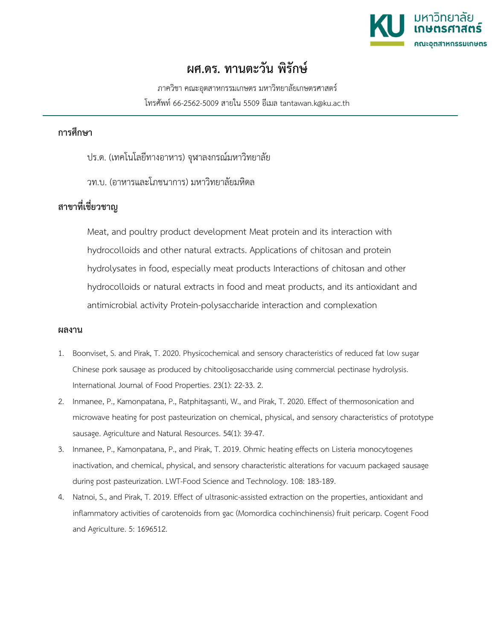

## **ผศ.ดร. ทานตะวัน พิรักษ**

ภาควิชา คณะอุตสาหกรรมเกษตร มหาวิทยาลัยเกษตรศาสตร โทรศัพท 66-2562-5009 สายใน 5509 อีเมล tantawan.k@ku.ac.th

## **การศึกษา**

- ปร.ด. (เทคโนโลยีทางอาหาร) จุฬาลงกรณมหาวิทยาลัย
- วท.บ. (อาหารและโภชนาการ) มหาวิทยาลัยมหิดล

## **สาขาที่เชี่ยวชาญ**

Meat, and poultry product development Meat protein and its interaction with hydrocolloids and other natural extracts. Applications of chitosan and protein hydrolysates in food, especially meat products Interactions of chitosan and other hydrocolloids or natural extracts in food and meat products, and its antioxidant and antimicrobial activity Protein-polysaccharide interaction and complexation

## **ผลงาน**

- 1. Boonviset, S. and Pirak, T. 2020. Physicochemical and sensory characteristics of reduced fat low sugar Chinese pork sausage as produced by chitooligosaccharide using commercial pectinase hydrolysis. International Journal of Food Properties. 23(1): 22-33. 2.
- 2. Inmanee, P., Kamonpatana, P., Ratphitagsanti, W., and Pirak, T. 2020. Effect of thermosonication and microwave heating for post pasteurization on chemical, physical, and sensory characteristics of prototype sausage. Agriculture and Natural Resources. 54(1): 39-47.
- 3. Inmanee, P., Kamonpatana, P., and Pirak, T. 2019. Ohmic heating effects on Listeria monocytogenes inactivation, and chemical, physical, and sensory characteristic alterations for vacuum packaged sausage during post pasteurization. LWT-Food Science and Technology. 108: 183-189.
- 4. Natnoi, S., and Pirak, T. 2019. Effect of ultrasonic-assisted extraction on the properties, antioxidant and inflammatory activities of carotenoids from gac (Momordica cochinchinensis) fruit pericarp. Cogent Food and Agriculture. 5: 1696512.